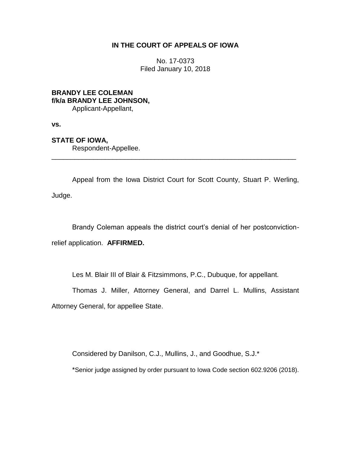## **IN THE COURT OF APPEALS OF IOWA**

No. 17-0373 Filed January 10, 2018

## **BRANDY LEE COLEMAN f/k/a BRANDY LEE JOHNSON,** Applicant-Appellant,

**vs.**

## **STATE OF IOWA,**

Respondent-Appellee.

Appeal from the Iowa District Court for Scott County, Stuart P. Werling, Judge.

\_\_\_\_\_\_\_\_\_\_\_\_\_\_\_\_\_\_\_\_\_\_\_\_\_\_\_\_\_\_\_\_\_\_\_\_\_\_\_\_\_\_\_\_\_\_\_\_\_\_\_\_\_\_\_\_\_\_\_\_\_\_\_\_

Brandy Coleman appeals the district court's denial of her postconvictionrelief application. **AFFIRMED.**

Les M. Blair III of Blair & Fitzsimmons, P.C., Dubuque, for appellant.

Thomas J. Miller, Attorney General, and Darrel L. Mullins, Assistant Attorney General, for appellee State.

Considered by Danilson, C.J., Mullins, J., and Goodhue, S.J.\*

\*Senior judge assigned by order pursuant to Iowa Code section 602.9206 (2018).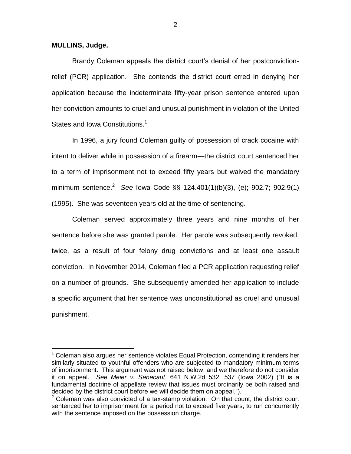**MULLINS, Judge.**

 $\overline{a}$ 

Brandy Coleman appeals the district court's denial of her postconvictionrelief (PCR) application. She contends the district court erred in denying her application because the indeterminate fifty-year prison sentence entered upon her conviction amounts to cruel and unusual punishment in violation of the United States and Iowa Constitutions.<sup>1</sup>

In 1996, a jury found Coleman guilty of possession of crack cocaine with intent to deliver while in possession of a firearm—the district court sentenced her to a term of imprisonment not to exceed fifty years but waived the mandatory minimum sentence.<sup>2</sup> *See* Iowa Code §§ 124.401(1)(b)(3), (e); 902.7; 902.9(1) (1995). She was seventeen years old at the time of sentencing.

Coleman served approximately three years and nine months of her sentence before she was granted parole. Her parole was subsequently revoked, twice, as a result of four felony drug convictions and at least one assault conviction. In November 2014, Coleman filed a PCR application requesting relief on a number of grounds. She subsequently amended her application to include a specific argument that her sentence was unconstitutional as cruel and unusual punishment.

 $1$  Coleman also argues her sentence violates Equal Protection, contending it renders her similarly situated to youthful offenders who are subjected to mandatory minimum terms of imprisonment. This argument was not raised below, and we therefore do not consider it on appeal. *See Meier v. Senecaut*, 641 N.W.2d 532, 537 (Iowa 2002) ("It is a fundamental doctrine of appellate review that issues must ordinarily be both raised and decided by the district court before we will decide them on appeal.").

 $2$  Coleman was also convicted of a tax-stamp violation. On that count, the district court sentenced her to imprisonment for a period not to exceed five years, to run concurrently with the sentence imposed on the possession charge.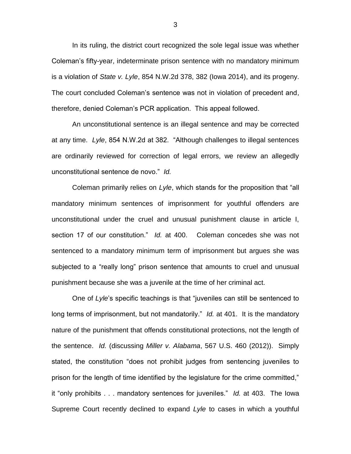In its ruling, the district court recognized the sole legal issue was whether Coleman's fifty-year, indeterminate prison sentence with no mandatory minimum is a violation of *State v. Lyle*, 854 N.W.2d 378, 382 (Iowa 2014), and its progeny. The court concluded Coleman's sentence was not in violation of precedent and, therefore, denied Coleman's PCR application. This appeal followed.

An unconstitutional sentence is an illegal sentence and may be corrected at any time. *Lyle*, 854 N.W.2d at 382. "Although challenges to illegal sentences are ordinarily reviewed for correction of legal errors, we review an allegedly unconstitutional sentence de novo." *Id.*

Coleman primarily relies on *Lyle*, which stands for the proposition that "all mandatory minimum sentences of imprisonment for youthful offenders are unconstitutional under the cruel and unusual punishment clause in article I, section 17 of our constitution." *Id.* at 400. Coleman concedes she was not sentenced to a mandatory minimum term of imprisonment but argues she was subjected to a "really long" prison sentence that amounts to cruel and unusual punishment because she was a juvenile at the time of her criminal act.

One of *Lyle*'s specific teachings is that "juveniles can still be sentenced to long terms of imprisonment, but not mandatorily." *Id.* at 401. It is the mandatory nature of the punishment that offends constitutional protections, not the length of the sentence. *Id.* (discussing *Miller v. Alabama*, 567 U.S. 460 (2012)). Simply stated, the constitution "does not prohibit judges from sentencing juveniles to prison for the length of time identified by the legislature for the crime committed," it "only prohibits . . . mandatory sentences for juveniles." *Id.* at 403. The Iowa Supreme Court recently declined to expand *Lyle* to cases in which a youthful

3